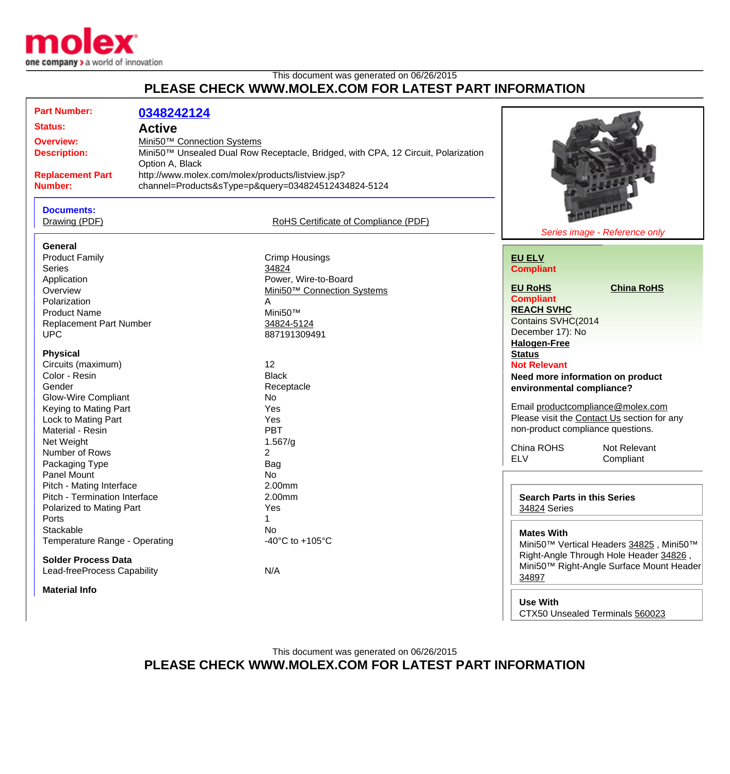

| PLEASE CHECK WWW.MOLEX.COM FOR LATEST PART INFORMATION    |                                                                                                                 |                                       |                                    |                                                                                   |
|-----------------------------------------------------------|-----------------------------------------------------------------------------------------------------------------|---------------------------------------|------------------------------------|-----------------------------------------------------------------------------------|
| <b>Part Number:</b><br><b>Status:</b><br><b>Overview:</b> | 0348242124<br><b>Active</b>                                                                                     |                                       |                                    |                                                                                   |
| <b>Description:</b>                                       | Mini50™ Connection Systems<br>Mini50™ Unsealed Dual Row Receptacle, Bridged, with CPA, 12 Circuit, Polarization |                                       |                                    |                                                                                   |
|                                                           | Option A, Black                                                                                                 |                                       |                                    |                                                                                   |
| <b>Replacement Part</b><br><b>Number:</b>                 | http://www.molex.com/molex/products/listview.jsp?<br>channel=Products&sType=p&query=034824512434824-5124        |                                       |                                    |                                                                                   |
| <b>Documents:</b><br>Drawing (PDF)                        |                                                                                                                 | RoHS Certificate of Compliance (PDF)  |                                    |                                                                                   |
| <b>General</b>                                            |                                                                                                                 |                                       |                                    | Series image - Reference only                                                     |
| <b>Product Family</b>                                     |                                                                                                                 | <b>Crimp Housings</b>                 | <b>EU ELV</b>                      |                                                                                   |
| <b>Series</b>                                             |                                                                                                                 | 34824                                 | <b>Compliant</b>                   |                                                                                   |
| Application                                               |                                                                                                                 | Power, Wire-to-Board                  |                                    |                                                                                   |
| Overview                                                  |                                                                                                                 | Mini50™ Connection Systems            | <b>EU RoHS</b>                     | <b>China RoHS</b>                                                                 |
| Polarization                                              |                                                                                                                 | A                                     | <b>Compliant</b>                   |                                                                                   |
| <b>Product Name</b>                                       |                                                                                                                 | Mini50™                               | <b>REACH SVHC</b>                  |                                                                                   |
| <b>Replacement Part Number</b>                            |                                                                                                                 | 34824-5124                            | Contains SVHC(2014                 |                                                                                   |
| <b>UPC</b>                                                |                                                                                                                 | 887191309491                          | December 17): No                   |                                                                                   |
|                                                           |                                                                                                                 |                                       | <b>Halogen-Free</b>                |                                                                                   |
| <b>Physical</b>                                           |                                                                                                                 |                                       | <b>Status</b>                      |                                                                                   |
| Circuits (maximum)<br>Color - Resin                       |                                                                                                                 | 12<br><b>Black</b>                    | <b>Not Relevant</b>                |                                                                                   |
| Gender                                                    |                                                                                                                 |                                       | Need more information on product   |                                                                                   |
| <b>Glow-Wire Compliant</b>                                |                                                                                                                 | Receptacle<br>No                      | environmental compliance?          |                                                                                   |
| Keying to Mating Part                                     |                                                                                                                 | Yes                                   |                                    | Email productcompliance@molex.com                                                 |
| Lock to Mating Part                                       |                                                                                                                 | Yes                                   |                                    | Please visit the Contact Us section for any                                       |
| Material - Resin                                          |                                                                                                                 | <b>PBT</b>                            | non-product compliance questions.  |                                                                                   |
| Net Weight                                                |                                                                                                                 | 1.567/g                               |                                    |                                                                                   |
| Number of Rows                                            |                                                                                                                 | $\overline{2}$                        | China ROHS                         | Not Relevant                                                                      |
| Packaging Type                                            |                                                                                                                 | <b>Bag</b>                            | <b>ELV</b>                         | Compliant                                                                         |
| Panel Mount                                               |                                                                                                                 | No                                    |                                    |                                                                                   |
| Pitch - Mating Interface                                  |                                                                                                                 | 2.00mm                                |                                    |                                                                                   |
| Pitch - Termination Interface                             |                                                                                                                 | 2.00mm                                | <b>Search Parts in this Series</b> |                                                                                   |
| Polarized to Mating Part                                  |                                                                                                                 | Yes                                   | 34824 Series                       |                                                                                   |
| Ports                                                     |                                                                                                                 | 1                                     |                                    |                                                                                   |
| Stackable                                                 |                                                                                                                 | No                                    | <b>Mates With</b>                  |                                                                                   |
| Temperature Range - Operating                             |                                                                                                                 | -40 $^{\circ}$ C to +105 $^{\circ}$ C |                                    | Mini50™ Vertical Headers 34825, Mini50™<br>Right-Angle Through Hole Header 34826, |
| <b>Solder Process Data</b>                                |                                                                                                                 |                                       |                                    | Mini50™ Right-Angle Surface Mount Header                                          |
| Lead-freeProcess Capability                               |                                                                                                                 | N/A                                   | 0.4007                             |                                                                                   |

This document was generated on 06/26/2015

**Material Info**

**Use With** CTX50 Unsealed Terminals [560023](http://www.molex.com/molex/products/listview.jsp?channel=Products&sType=a&query=560023)

[34897](http://www.molex.com/molex/products/listview.jsp?channel=Products&sType=s&query=34897)

This document was generated on 06/26/2015 **PLEASE CHECK WWW.MOLEX.COM FOR LATEST PART INFORMATION**